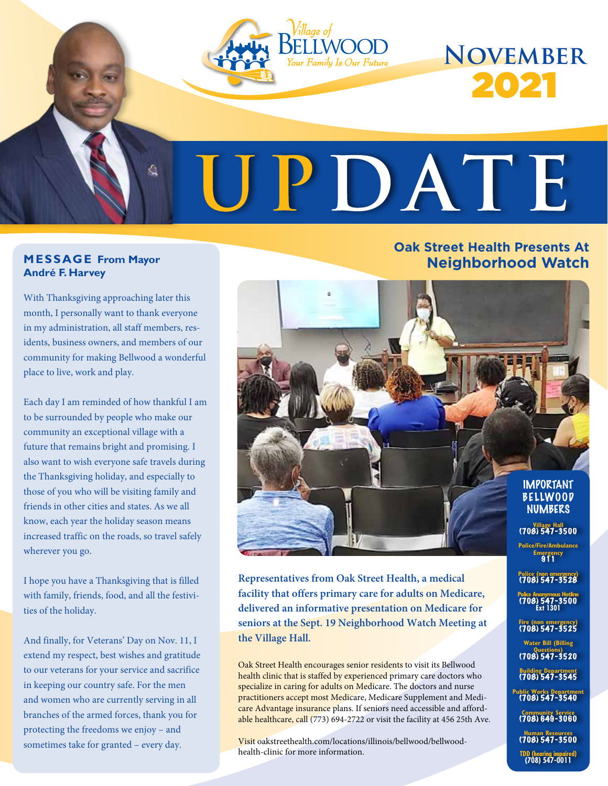

#### **MESSAGE From Mayor André F. Harvey**

With Thanksgiving approaching later this month, I personally want to thank everyone in my administration, all staff members, residents, business owners, and members of our community for making Bellwood a wonderful place to live, work and play.

Each day I am reminded of how thankful I am to be surrounded by people who make our community an exceptional village with a future that remains bright and promising. I also want to wish everyone safe travels during the Thanksgiving holiday, and especially to those of you who will be visiting family and friends in other cities and states. As we all know, each year the holiday season means increased traffic on the roads, so travel safely wherever you go.

I hope you have a Thanksgiving that is filled with family, friends, food, and all the festivities of the holiday.

And finally, for Veterans' Day on Nov. 11, I extend my respect, best wishes and gratitude to our veterans for your service and sacrifice in keeping our country safe. For the men and women who are currently serving in all branches of the armed forces, thank you for protecting the freedoms we enjoy – and sometimes take for granted – every day.

#### **Oak Street Health Presents At Neighborhood Watch**



**Representatives from Oak Street Health, a medical facility that offers primary care for adults on Medicare, delivered an informative presentation on Medicare for seniors at the Sept. 19 Neighborhood Watch Meeting at the Village Hall.**

Oak Street Health encourages senior residents to visit its Bellwood health clinic that is staffed by experienced primary care doctors who specialize in caring for adults on Medicare. The doctors and nurse practitioners accept most Medicare, Medicare Supplement and Medicare Advantage insurance plans. If seniors need accessible and affordable healthcare, call (773) 694-2722 or visit the facility at 456 25th Ave.

Visit oakstreethealth.com/locations/illinois/bellwood/bellwoodhealth-clinic for more information.

**Emergency** 911

**Police (non emergency)** (708) 547-3528

**Police Anonymous Hotline** (708) 547-3500 **Ext 1301** 

**Fire (non emergency)** (708) 547-3525

**Water Bill (Billing Questions)** (708) 547-3520 **Building Department**  (708) 547-3545 **Public Works Department** (708) 547-3540 **Community Service**  (708) 649-3060 **Human Resources**  (708) 547-3500 **TDD (hearing impaired) (708) 547-0011**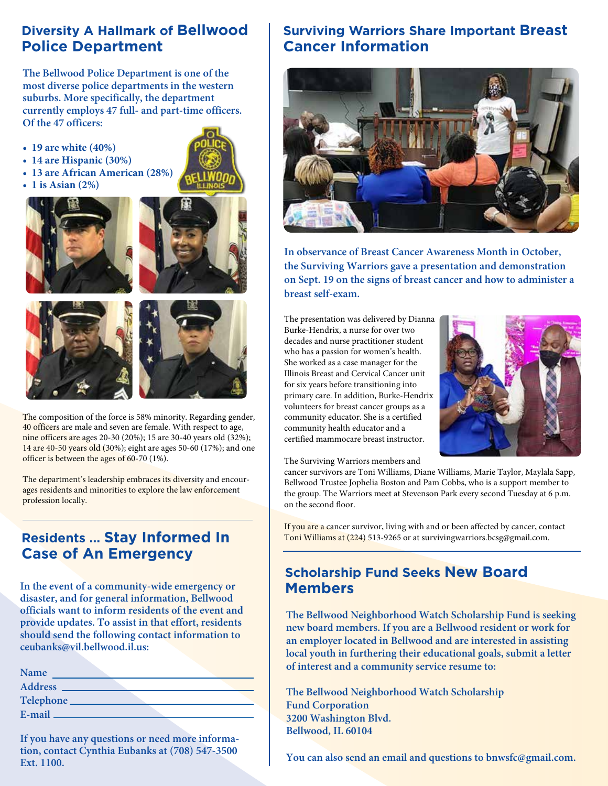#### **Diversity A Hallmark of Bellwood Police Department**

**The Bellwood Police Department is one of the most diverse police departments in the western suburbs. More specifically, the department currently employs 47 full- and part-time officers. Of the 47 officers:**

- **19 are white (40%)**
- **14 are Hispanic (30%)**
- **13 are African American (28%)**
- **1 is Asian (2%)**









The composition of the force is 58% minority. Regarding gender, 40 officers are male and seven are female. With respect to age, nine officers are ages 20-30 (20%); 15 are 30-40 years old (32%); 14 are 40-50 years old (30%); eight are ages 50-60 (17%); and one officer is between the ages of 60-70 (1%).

The department's leadership embraces its diversity and encourages residents and minorities to explore the law enforcement profession locally.

### **Residents … Stay Informed In Case of An Emergency**

**In the event of a community-wide emergency or disaster, and for general information, Bellwood officials want to inform residents of the event and provide updates. To assist in that effort, residents should send the following contact information to ceubanks@vil.bellwood.il.us:**

| <b>Name</b>    |  |
|----------------|--|
| <b>Address</b> |  |
| Telephone      |  |
| E-mail         |  |

**If you have any questions or need more information, contact Cynthia Eubanks at (708) 547-3500 Ext. 1100.**

#### **Surviving Warriors Share Important Breast Cancer Information**



**In observance of Breast Cancer Awareness Month in October, the Surviving Warriors gave a presentation and demonstration on Sept. 19 on the signs of breast cancer and how to administer a breast self-exam.**

The presentation was delivered by Dianna Burke-Hendrix, a nurse for over two decades and nurse practitioner student who has a passion for women's health. She worked as a case manager for the Illinois Breast and Cervical Cancer unit for six years before transitioning into primary care. In addition, Burke-Hendrix volunteers for breast cancer groups as a community educator. She is a certified community health educator and a certified mammocare breast instructor.



The Surviving Warriors members and

cancer survivors are Toni Williams, Diane Williams, Marie Taylor, Maylala Sapp, Bellwood Trustee Jophelia Boston and Pam Cobbs, who is a support member to the group. The Warriors meet at Stevenson Park every second Tuesday at 6 p.m. on the second floor.

If you are a cancer survivor, living with and or been affected by cancer, contact Toni Williams at (224) 513-9265 or at survivingwarriors.bcsg@gmail.com.

#### **Scholarship Fund Seeks New Board Members**

**The Bellwood Neighborhood Watch Scholarship Fund is seeking new board members. If you are a Bellwood resident or work for an employer located in Bellwood and are interested in assisting local youth in furthering their educational goals, submit a letter of interest and a community service resume to:**

**The Bellwood Neighborhood Watch Scholarship Fund Corporation 3200 Washington Blvd. Bellwood, IL 60104**

You can also send an email and questions to bnwsfc@gmail.com.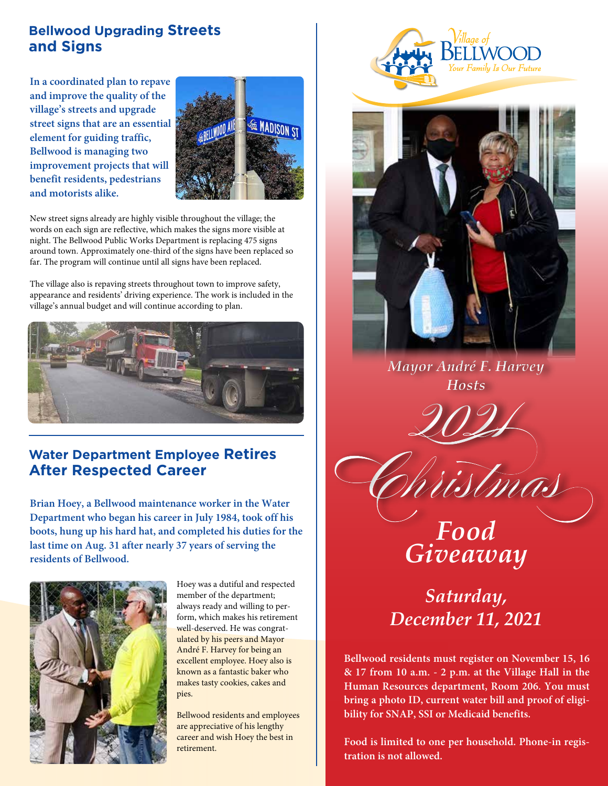#### **Bellwood Upgrading Streets and Signs**

**In a coordinated plan to repave and improve the quality of the village's streets and upgrade street signs that are an essential element for guiding traffic, Bellwood is managing two improvement projects that will benefit residents, pedestrians and motorists alike.**



New street signs already are highly visible throughout the village; the words on each sign are reflective, which makes the signs more visible at night. The Bellwood Public Works Department is replacing 475 signs around town. Approximately one-third of the signs have been replaced so far. The program will continue until all signs have been replaced.

The village also is repaving streets throughout town to improve safety, appearance and residents' driving experience. The work is included in the village's annual budget and will continue according to plan.



#### **Water Department Employee Retires After Respected Career**

**Brian Hoey, a Bellwood maintenance worker in the Water Department who began his career in July 1984, took off his boots, hung up his hard hat, and completed his duties for the last time on Aug. 31 after nearly 37 years of serving the residents of Bellwood.** 



Hoey was a dutiful and respected member of the department; always ready and willing to perform, which makes his retirement well-deserved. He was congratulated by his peers and Mayor André F. Harvey for being an excellent employee. Hoey also is known as a fantastic baker who makes tasty cookies, cakes and pies.

Bellwood residents and employees are appreciative of his lengthy career and wish Hoey the best in retirement.





*Mayor André F. Harvey Hosts*



Christmas

# *Food Giveaway*

*Saturday, December 11, 2021*

**Bellwood residents must register on November 15, 16 & 17 from 10 a.m. - 2 p.m. at the Village Hall in the Human Resources department, Room 206. You must bring a photo ID, current water bill and proof of eligibility for SNAP, SSI or Medicaid benefits.**

**Food is limited to one per household. Phone-in registration is not allowed.**